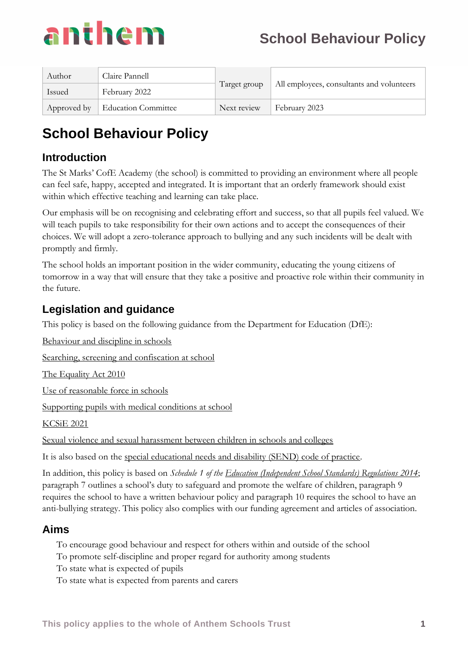

| Author        | Claire Pannell                    | Target group | All employees, consultants and volunteers |
|---------------|-----------------------------------|--------------|-------------------------------------------|
| <b>Issued</b> | February 2022                     |              |                                           |
|               | Approved by   Education Committee | Next review  | February 2023                             |

# **Introduction**

The St Marks' CofE Academy (the school) is committed to providing an environment where all people can feel safe, happy, accepted and integrated. It is important that an orderly framework should exist within which effective teaching and learning can take place.

Our emphasis will be on recognising and celebrating effort and success, so that all pupils feel valued. We will teach pupils to take responsibility for their own actions and to accept the consequences of their choices. We will adopt a zero-tolerance approach to bullying and any such incidents will be dealt with promptly and firmly.

The school holds an important position in the wider community, educating the young citizens of tomorrow in a way that will ensure that they take a positive and proactive role within their community in the future.

# **Legislation and guidance**

This policy is based on the following guidance from the Department for Education (DfE):

[Behaviour and discipline in schools](https://www.gov.uk/government/publications/behaviour-and-discipline-in-schools)

[Searching, screening and confiscation at school](https://www.gov.uk/government/publications/searching-screening-and-confiscation)

[The Equality Act 2010](https://www.gov.uk/government/publications/equality-act-2010-advice-for-schools)

[Use of reasonable force in schools](https://www.gov.uk/government/publications/use-of-reasonable-force-in-schools)

[Supporting pupils with medical conditions at school](https://www.gov.uk/government/publications/supporting-pupils-at-school-with-medical-conditions--3)

[KCSiE 2021](https://www.gov.uk/government/publications/keeping-children-safe-in-education--2)

Sexual violence and sexual harassment between children in schools and colleges

It is also based on the [special educational needs and disability \(SEND\) code of practice.](https://www.gov.uk/government/publications/send-code-of-practice-0-to-25)

In addition, this policy is based on *Schedule 1 of the [Education \(Independent School Standards\) Regulations 2014](http://www.legislation.gov.uk/uksi/2014/3283/schedule/made)*; paragraph 7 outlines a school's duty to safeguard and promote the welfare of children, paragraph 9 requires the school to have a written behaviour policy and paragraph 10 requires the school to have an anti-bullying strategy. This policy also complies with our funding agreement and articles of association.

## **Aims**

- To encourage good behaviour and respect for others within and outside of the school
- To promote self-discipline and proper regard for authority among students
- To state what is expected of pupils
- To state what is expected from parents and carers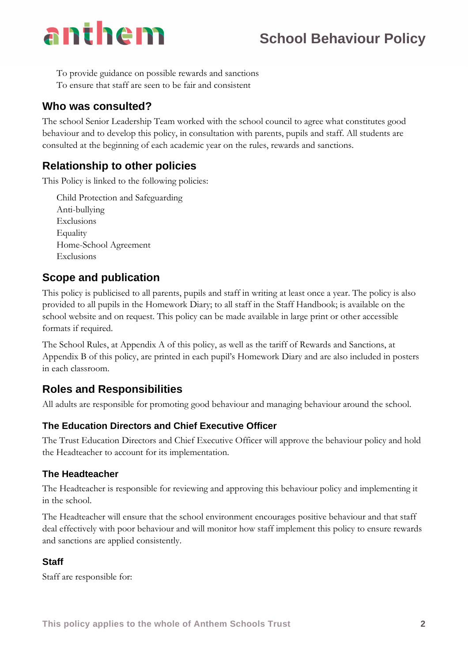- To provide guidance on possible rewards and sanctions
- To ensure that staff are seen to be fair and consistent

# **Who was consulted?**

The school Senior Leadership Team worked with the school council to agree what constitutes good behaviour and to develop this policy, in consultation with parents, pupils and staff. All students are consulted at the beginning of each academic year on the rules, rewards and sanctions.

# **Relationship to other policies**

This Policy is linked to the following policies:

- Child Protection and Safeguarding
- Anti-bullying
- **Exclusions**
- Equality
- Home-School Agreement
- **Exclusions**

## **Scope and publication**

This policy is publicised to all parents, pupils and staff in writing at least once a year. The policy is also provided to all pupils in the Homework Diary; to all staff in the Staff Handbook; is available on the school website and on request. This policy can be made available in large print or other accessible formats if required.

The School Rules, at Appendix A of this policy, as well as the tariff of Rewards and Sanctions, at Appendix B of this policy, are printed in each pupil's Homework Diary and are also included in posters in each classroom.

# **Roles and Responsibilities**

All adults are responsible for promoting good behaviour and managing behaviour around the school.

### **The Education Directors and Chief Executive Officer**

The Trust Education Directors and Chief Executive Officer will approve the behaviour policy and hold the Headteacher to account for its implementation.

#### **The Headteacher**

The Headteacher is responsible for reviewing and approving this behaviour policy and implementing it in the school.

The Headteacher will ensure that the school environment encourages positive behaviour and that staff deal effectively with poor behaviour and will monitor how staff implement this policy to ensure rewards and sanctions are applied consistently.

### **Staff**

Staff are responsible for: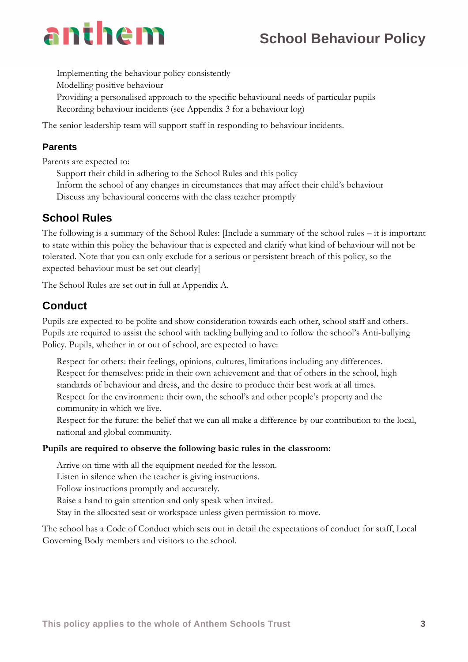# **School Behaviour Policy**

- Implementing the behaviour policy consistently
- Modelling positive behaviour
- Providing a personalised approach to the specific behavioural needs of particular pupils
- Recording behaviour incidents (see Appendix 3 for a behaviour log)

The senior leadership team will support staff in responding to behaviour incidents.

#### **Parents**

Parents are expected to:

- Support their child in adhering to the School Rules and this policy
- Inform the school of any changes in circumstances that may affect their child's behaviour
- Discuss any behavioural concerns with the class teacher promptly

## **School Rules**

The following is a summary of the School Rules: [Include a summary of the school rules – it is important to state within this policy the behaviour that is expected and clarify what kind of behaviour will not be tolerated. Note that you can only exclude for a serious or persistent breach of this policy, so the expected behaviour must be set out clearly]

The School Rules are set out in full at Appendix A.

## **Conduct**

Pupils are expected to be polite and show consideration towards each other, school staff and others. Pupils are required to assist the school with tackling bullying and to follow the school's Anti-bullying Policy. Pupils, whether in or out of school, are expected to have:

- Respect for others: their feelings, opinions, cultures, limitations including any differences.
- Respect for themselves: pride in their own achievement and that of others in the school, high standards of behaviour and dress, and the desire to produce their best work at all times.
- Respect for the environment: their own, the school's and other people's property and the community in which we live.
- Respect for the future: the belief that we can all make a difference by our contribution to the local, national and global community.

#### **Pupils are required to observe the following basic rules in the classroom:**

- Arrive on time with all the equipment needed for the lesson.
- Listen in silence when the teacher is giving instructions.
- Follow instructions promptly and accurately.
- Raise a hand to gain attention and only speak when invited.
- Stay in the allocated seat or workspace unless given permission to move.

The school has a Code of Conduct which sets out in detail the expectations of conduct for staff, Local Governing Body members and visitors to the school.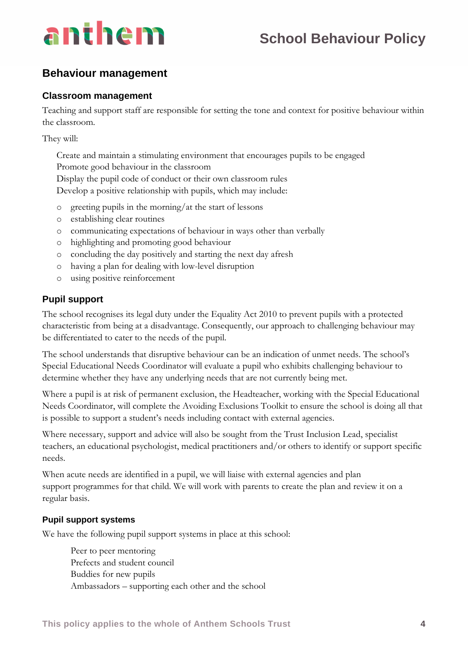# **School Behaviour Policy**

## **Behaviour management**

#### **Classroom management**

Teaching and support staff are responsible for setting the tone and context for positive behaviour within the classroom.

They will:

- Create and maintain a stimulating environment that encourages pupils to be engaged
- Promote good behaviour in the classroom
- Display the pupil code of conduct or their own classroom rules
- Develop a positive relationship with pupils, which may include:
	- o greeting pupils in the morning/at the start of lessons
	- o establishing clear routines
	- o communicating expectations of behaviour in ways other than verbally
	- o highlighting and promoting good behaviour
	- o concluding the day positively and starting the next day afresh
	- o having a plan for dealing with low-level disruption
	- o using positive reinforcement

### **Pupil support**

The school recognises its legal duty under the Equality Act 2010 to prevent pupils with a protected characteristic from being at a disadvantage. Consequently, our approach to challenging behaviour may be differentiated to cater to the needs of the pupil.

The school understands that disruptive behaviour can be an indication of unmet needs. The school's Special Educational Needs Coordinator will evaluate a pupil who exhibits challenging behaviour to determine whether they have any underlying needs that are not currently being met.

Where a pupil is at risk of permanent exclusion, the Headteacher, working with the Special Educational Needs Coordinator, will complete the Avoiding Exclusions Toolkit to ensure the school is doing all that is possible to support a student's needs including contact with external agencies.

Where necessary, support and advice will also be sought from the Trust Inclusion Lead, specialist teachers, an educational psychologist, medical practitioners and/or others to identify or support specific needs.

When acute needs are identified in a pupil, we will liaise with external agencies and plan support programmes for that child. We will work with parents to create the plan and review it on a regular basis.

#### **Pupil support systems**

We have the following pupil support systems in place at this school:

- Peer to peer mentoring
- Prefects and student council
- Buddies for new pupils
- Ambassadors supporting each other and the school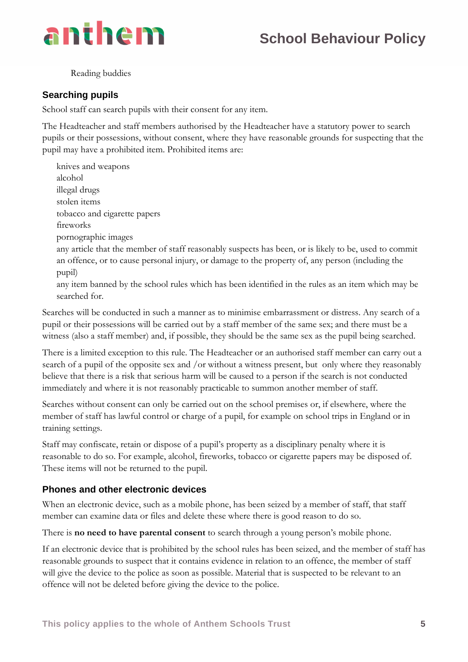

Reading buddies

#### **Searching pupils**

School staff can search pupils with their consent for any item.

The Headteacher and staff members authorised by the Headteacher have a statutory power to search pupils or their possessions, without consent, where they have reasonable grounds for suspecting that the pupil may have a prohibited item. Prohibited items are:

- knives and weapons
- alcohol
- illegal drugs
- stolen items
- tobacco and cigarette papers
- fireworks
- pornographic images
- any article that the member of staff reasonably suspects has been, or is likely to be, used to commit an offence, or to cause personal injury, or damage to the property of, any person (including the pupil)
- any item banned by the school rules which has been identified in the rules as an item which may be searched for.

Searches will be conducted in such a manner as to minimise embarrassment or distress. Any search of a pupil or their possessions will be carried out by a staff member of the same sex; and there must be a witness (also a staff member) and, if possible, they should be the same sex as the pupil being searched.

There is a limited exception to this rule. The Headteacher or an authorised staff member can carry out a search of a pupil of the opposite sex and /or without a witness present, but only where they reasonably believe that there is a risk that serious harm will be caused to a person if the search is not conducted immediately and where it is not reasonably practicable to summon another member of staff.

Searches without consent can only be carried out on the school premises or, if elsewhere, where the member of staff has lawful control or charge of a pupil, for example on school trips in England or in training settings.

Staff may confiscate, retain or dispose of a pupil's property as a disciplinary penalty where it is reasonable to do so. For example, alcohol, fireworks, tobacco or cigarette papers may be disposed of. These items will not be returned to the pupil.

#### **Phones and other electronic devices**

When an electronic device, such as a mobile phone, has been seized by a member of staff, that staff member can examine data or files and delete these where there is good reason to do so.

There is **no need to have parental consent** to search through a young person's mobile phone.

If an electronic device that is prohibited by the school rules has been seized, and the member of staff has reasonable grounds to suspect that it contains evidence in relation to an offence, the member of staff will give the device to the police as soon as possible. Material that is suspected to be relevant to an offence will not be deleted before giving the device to the police.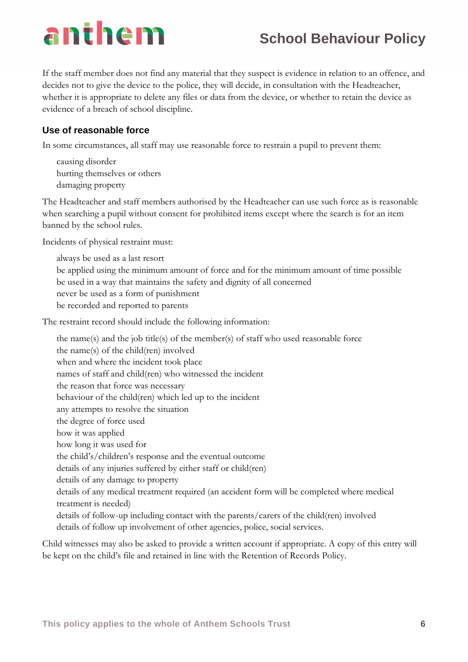# **School Behaviour Policy**

If the staff member does not find any material that they suspect is evidence in relation to an offence, and decides not to give the device to the police, they will decide, in consultation with the Headteacher, whether it is appropriate to delete any files or data from the device, or whether to retain the device as evidence of a breach of school discipline.

### **Use of reasonable force**

In some circumstances, all staff may use reasonable force to restrain a pupil to prevent them:

- causing disorder
- hurting themselves or others
- damaging property

The Headteacher and staff members authorised by the Headteacher can use such force as is reasonable when searching a pupil without consent for prohibited items except where the search is for an item banned by the school rules.

Incidents of physical restraint must:

- always be used as a last resort
- be applied using the minimum amount of force and for the minimum amount of time possible
- be used in a way that maintains the safety and dignity of all concerned
- never be used as a form of punishment
- be recorded and reported to parents

The restraint record should include the following information:

- the name(s) and the job title(s) of the member(s) of staff who used reasonable force
- the name(s) of the child(ren) involved
- when and where the incident took place
- names of staff and child(ren) who witnessed the incident
- the reason that force was necessary
- behaviour of the child(ren) which led up to the incident
- any attempts to resolve the situation
- the degree of force used
- how it was applied
- how long it was used for
- the child's/children's response and the eventual outcome
- details of any injuries suffered by either staff or child(ren)
- details of any damage to property
- details of any medical treatment required (an accident form will be completed where medical treatment is needed)
- details of follow-up including contact with the parents/carers of the child(ren) involved
- details of follow up involvement of other agencies, police, social services.

Child witnesses may also be asked to provide a written account if appropriate. A copy of this entry will be kept on the child's file and retained in line with the Retention of Records Policy.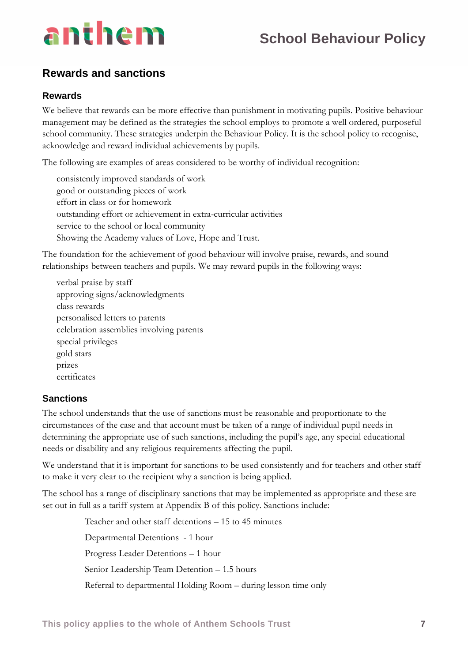

## **Rewards and sanctions**

#### **Rewards**

We believe that rewards can be more effective than punishment in motivating pupils. Positive behaviour management may be defined as the strategies the school employs to promote a well ordered, purposeful school community. These strategies underpin the Behaviour Policy. It is the school policy to recognise, acknowledge and reward individual achievements by pupils.

The following are examples of areas considered to be worthy of individual recognition:

- consistently improved standards of work
- good or outstanding pieces of work
- effort in class or for homework
- outstanding effort or achievement in extra-curricular activities
- service to the school or local community
- Showing the Academy values of Love, Hope and Trust.

The foundation for the achievement of good behaviour will involve praise, rewards, and sound relationships between teachers and pupils. We may reward pupils in the following ways:

- verbal praise by staff
- approving signs/acknowledgments
- class rewards
- personalised letters to parents
- celebration assemblies involving parents
- special privileges
- gold stars
- prizes
- certificates

#### **Sanctions**

The school understands that the use of sanctions must be reasonable and proportionate to the circumstances of the case and that account must be taken of a range of individual pupil needs in determining the appropriate use of such sanctions, including the pupil's age, any special educational needs or disability and any religious requirements affecting the pupil.

We understand that it is important for sanctions to be used consistently and for teachers and other staff to make it very clear to the recipient why a sanction is being applied.

The school has a range of disciplinary sanctions that may be implemented as appropriate and these are set out in full as a tariff system at Appendix B of this policy. Sanctions include:

- Teacher and other staff detentions 15 to 45 minutes
- Departmental Detentions 1 hour
- Progress Leader Detentions 1 hour
- Senior Leadership Team Detention 1.5 hours
- Referral to departmental Holding Room during lesson time only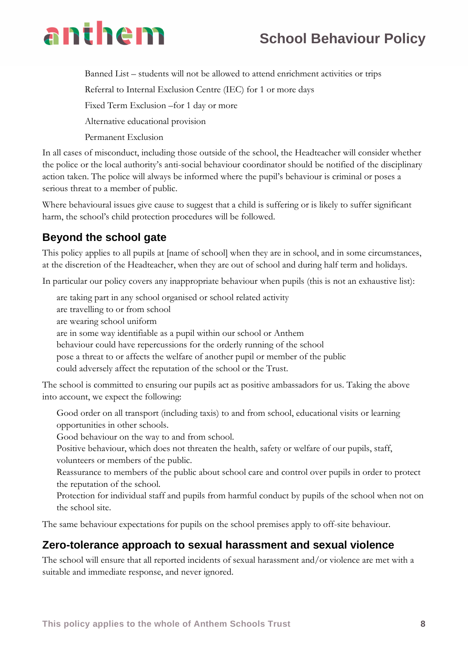# **School Behaviour Policy**

- Banned List students will not be allowed to attend enrichment activities or trips
- Referral to Internal Exclusion Centre (IEC) for 1 or more days
- Fixed Term Exclusion –for 1 day or more
- Alternative educational provision
- Permanent Exclusion

In all cases of misconduct, including those outside of the school, the Headteacher will consider whether the police or the local authority's anti-social behaviour coordinator should be notified of the disciplinary action taken. The police will always be informed where the pupil's behaviour is criminal or poses a serious threat to a member of public.

Where behavioural issues give cause to suggest that a child is suffering or is likely to suffer significant harm, the school's child protection procedures will be followed.

# **Beyond the school gate**

This policy applies to all pupils at [name of school] when they are in school, and in some circumstances, at the discretion of the Headteacher, when they are out of school and during half term and holidays.

In particular our policy covers any inappropriate behaviour when pupils (this is not an exhaustive list):

- are taking part in any school organised or school related activity
- are travelling to or from school
- are wearing school uniform
- are in some way identifiable as a pupil within our school or Anthem
- behaviour could have repercussions for the orderly running of the school
- pose a threat to or affects the welfare of another pupil or member of the public
- could adversely affect the reputation of the school or the Trust.

The school is committed to ensuring our pupils act as positive ambassadors for us. Taking the above into account, we expect the following:

- Good order on all transport (including taxis) to and from school, educational visits or learning opportunities in other schools.
- Good behaviour on the way to and from school.
- Positive behaviour, which does not threaten the health, safety or welfare of our pupils, staff, volunteers or members of the public.
- Reassurance to members of the public about school care and control over pupils in order to protect the reputation of the school.
- Protection for individual staff and pupils from harmful conduct by pupils of the school when not on the school site.

The same behaviour expectations for pupils on the school premises apply to off-site behaviour.

## **Zero-tolerance approach to sexual harassment and sexual violence**

The school will ensure that all reported incidents of sexual harassment and/or violence are met with a suitable and immediate response, and never ignored.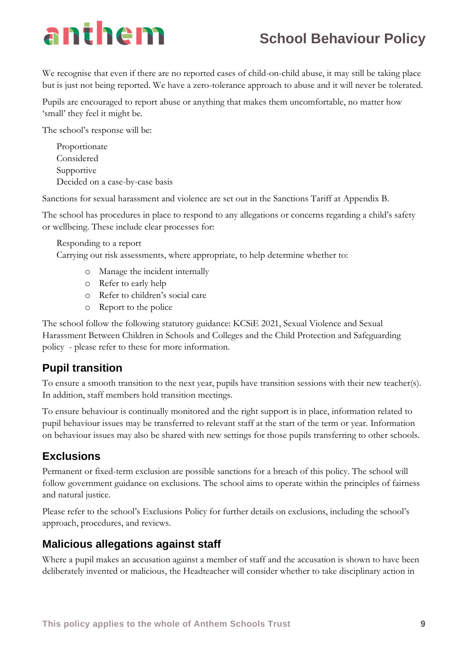# **School Behaviour Policy**

We recognise that even if there are no reported cases of child-on-child abuse, it may still be taking place but is just not being reported. We have a zero-tolerance approach to abuse and it will never be tolerated.

Pupils are encouraged to report abuse or anything that makes them uncomfortable, no matter how 'small' they feel it might be.

The school's response will be:

- **Proportionate**
- **Considered**
- Supportive
- Decided on a case-by-case basis

Sanctions for sexual harassment and violence are set out in the Sanctions Tariff at Appendix B.

The school has procedures in place to respond to any allegations or concerns regarding a child's safety or wellbeing. These include clear processes for:

- Responding to a report
- Carrying out risk assessments, where appropriate, to help determine whether to:
	- o Manage the incident internally
	- o Refer to early help
	- o Refer to children's social care
	- o Report to the police

The school follow the following statutory guidance: KCSiE 2021, Sexual Violence and Sexual Harassment Between Children in Schools and Colleges and the Child Protection and Safeguarding policy - please refer to these for more information.

# **Pupil transition**

To ensure a smooth transition to the next year, pupils have transition sessions with their new teacher(s). In addition, staff members hold transition meetings.

To ensure behaviour is continually monitored and the right support is in place, information related to pupil behaviour issues may be transferred to relevant staff at the start of the term or year. Information on behaviour issues may also be shared with new settings for those pupils transferring to other schools.

## **Exclusions**

Permanent or fixed-term exclusion are possible sanctions for a breach of this policy. The school will follow government guidance on exclusions. The school aims to operate within the principles of fairness and natural justice.

Please refer to the school's Exclusions Policy for further details on exclusions, including the school's approach, procedures, and reviews.

## **Malicious allegations against staff**

Where a pupil makes an accusation against a member of staff and the accusation is shown to have been deliberately invented or malicious, the Headteacher will consider whether to take disciplinary action in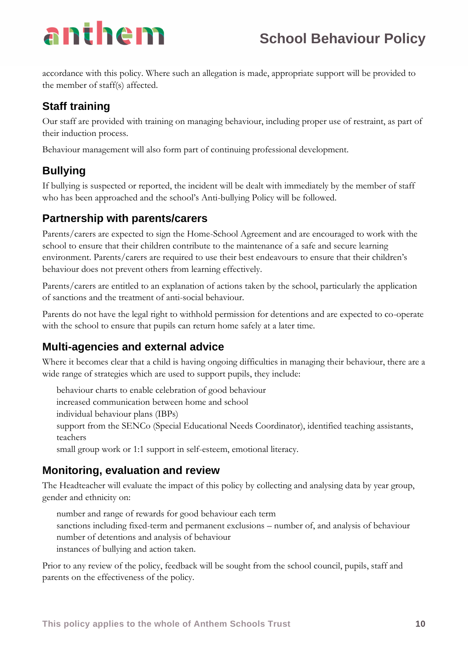accordance with this policy. Where such an allegation is made, appropriate support will be provided to the member of staff(s) affected.

# **Staff training**

Our staff are provided with training on managing behaviour, including proper use of restraint, as part of their induction process.

Behaviour management will also form part of continuing professional development.

# **Bullying**

If bullying is suspected or reported, the incident will be dealt with immediately by the member of staff who has been approached and the school's Anti-bullying Policy will be followed.

# **Partnership with parents/carers**

Parents/carers are expected to sign the Home-School Agreement and are encouraged to work with the school to ensure that their children contribute to the maintenance of a safe and secure learning environment. Parents/carers are required to use their best endeavours to ensure that their children's behaviour does not prevent others from learning effectively.

Parents/carers are entitled to an explanation of actions taken by the school, particularly the application of sanctions and the treatment of anti-social behaviour.

Parents do not have the legal right to withhold permission for detentions and are expected to co-operate with the school to ensure that pupils can return home safely at a later time.

# **Multi-agencies and external advice**

Where it becomes clear that a child is having ongoing difficulties in managing their behaviour, there are a wide range of strategies which are used to support pupils, they include:

- behaviour charts to enable celebration of good behaviour
- increased communication between home and school
- individual behaviour plans (IBPs)
- support from the SENCo (Special Educational Needs Coordinator), identified teaching assistants, teachers
- small group work or 1:1 support in self-esteem, emotional literacy.

# **Monitoring, evaluation and review**

The Headteacher will evaluate the impact of this policy by collecting and analysing data by year group, gender and ethnicity on:

- number and range of rewards for good behaviour each term
- sanctions including fixed-term and permanent exclusions number of, and analysis of behaviour
- number of detentions and analysis of behaviour
- instances of bullying and action taken.

Prior to any review of the policy, feedback will be sought from the school council, pupils, staff and parents on the effectiveness of the policy.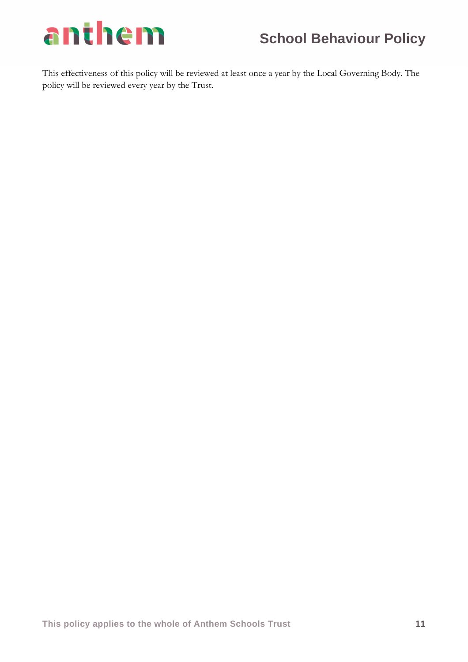

This effectiveness of this policy will be reviewed at least once a year by the Local Governing Body. The policy will be reviewed every year by the Trust.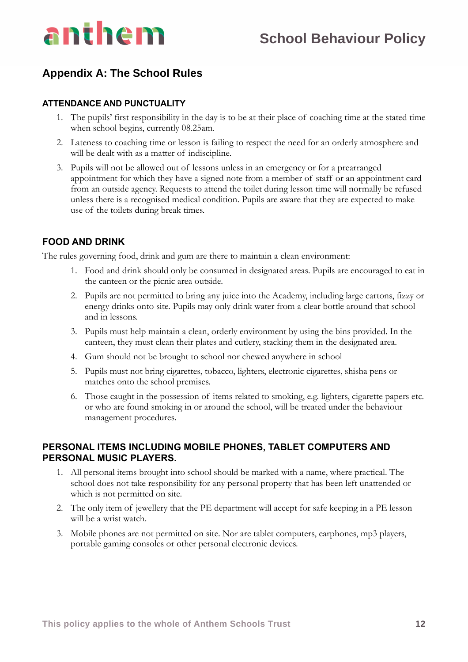

## **Appendix A: The School Rules**

#### **ATTENDANCE AND PUNCTUALITY**

- 1. The pupils' first responsibility in the day is to be at their place of coaching time at the stated time when school begins, currently 08.25am.
- 2. Lateness to coaching time or lesson is failing to respect the need for an orderly atmosphere and will be dealt with as a matter of indiscipline.
- 3. Pupils will not be allowed out of lessons unless in an emergency or for a prearranged appointment for which they have a signed note from a member of staff or an appointment card from an outside agency. Requests to attend the toilet during lesson time will normally be refused unless there is a recognised medical condition. Pupils are aware that they are expected to make use of the toilets during break times.

#### **FOOD AND DRINK**

The rules governing food, drink and gum are there to maintain a clean environment:

- 1. Food and drink should only be consumed in designated areas. Pupils are encouraged to eat in the canteen or the picnic area outside.
- 2. Pupils are not permitted to bring any juice into the Academy, including large cartons, fizzy or energy drinks onto site. Pupils may only drink water from a clear bottle around that school and in lessons.
- 3. Pupils must help maintain a clean, orderly environment by using the bins provided. In the canteen, they must clean their plates and cutlery, stacking them in the designated area.
- 4. Gum should not be brought to school nor chewed anywhere in school
- 5. Pupils must not bring cigarettes, tobacco, lighters, electronic cigarettes, shisha pens or matches onto the school premises.
- 6. Those caught in the possession of items related to smoking, e.g. lighters, cigarette papers etc. or who are found smoking in or around the school, will be treated under the behaviour management procedures.

#### **PERSONAL ITEMS INCLUDING MOBILE PHONES, TABLET COMPUTERS AND PERSONAL MUSIC PLAYERS.**

- 1. All personal items brought into school should be marked with a name, where practical. The school does not take responsibility for any personal property that has been left unattended or which is not permitted on site.
- 2. The only item of jewellery that the PE department will accept for safe keeping in a PE lesson will be a wrist watch.
- 3. Mobile phones are not permitted on site. Nor are tablet computers, earphones, mp3 players, portable gaming consoles or other personal electronic devices.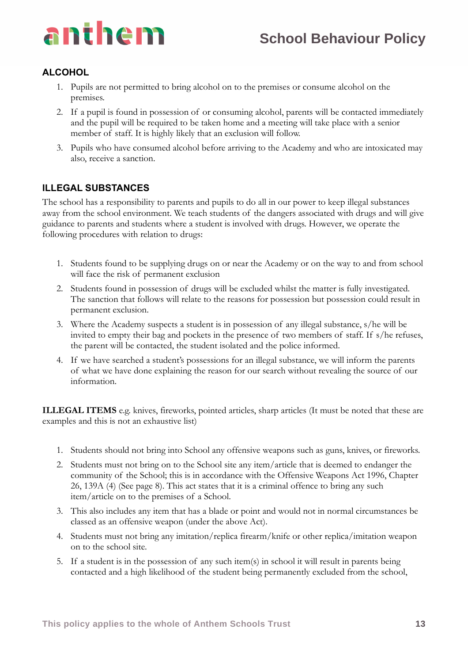

### **ALCOHOL**

- 1. Pupils are not permitted to bring alcohol on to the premises or consume alcohol on the premises.
- 2. If a pupil is found in possession of or consuming alcohol, parents will be contacted immediately and the pupil will be required to be taken home and a meeting will take place with a senior member of staff. It is highly likely that an exclusion will follow.
- 3. Pupils who have consumed alcohol before arriving to the Academy and who are intoxicated may also, receive a sanction.

### **ILLEGAL SUBSTANCES**

The school has a responsibility to parents and pupils to do all in our power to keep illegal substances away from the school environment. We teach students of the dangers associated with drugs and will give guidance to parents and students where a student is involved with drugs. However, we operate the following procedures with relation to drugs:

- 1. Students found to be supplying drugs on or near the Academy or on the way to and from school will face the risk of permanent exclusion
- 2. Students found in possession of drugs will be excluded whilst the matter is fully investigated. The sanction that follows will relate to the reasons for possession but possession could result in permanent exclusion.
- 3. Where the Academy suspects a student is in possession of any illegal substance, s/he will be invited to empty their bag and pockets in the presence of two members of staff. If s/he refuses, the parent will be contacted, the student isolated and the police informed.
- 4. If we have searched a student's possessions for an illegal substance, we will inform the parents of what we have done explaining the reason for our search without revealing the source of our information.

**ILLEGAL ITEMS** e.g. knives, fireworks, pointed articles, sharp articles (It must be noted that these are examples and this is not an exhaustive list)

- 1. Students should not bring into School any offensive weapons such as guns, knives, or fireworks.
- 2. Students must not bring on to the School site any item/article that is deemed to endanger the community of the School; this is in accordance with the Offensive Weapons Act 1996, Chapter 26, 139A (4) (See page 8). This act states that it is a criminal offence to bring any such item/article on to the premises of a School.
- 3. This also includes any item that has a blade or point and would not in normal circumstances be classed as an offensive weapon (under the above Act).
- 4. Students must not bring any imitation/replica firearm/knife or other replica/imitation weapon on to the school site.
- 5. If a student is in the possession of any such item(s) in school it will result in parents being contacted and a high likelihood of the student being permanently excluded from the school,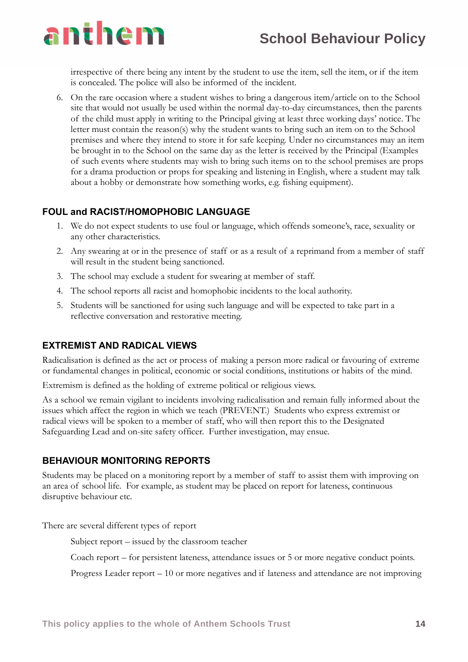

irrespective of there being any intent by the student to use the item, sell the item, or if the item is concealed. The police will also be informed of the incident.

6. On the rare occasion where a student wishes to bring a dangerous item/article on to the School site that would not usually be used within the normal day-to-day circumstances, then the parents of the child must apply in writing to the Principal giving at least three working days' notice. The letter must contain the reason(s) why the student wants to bring such an item on to the School premises and where they intend to store it for safe keeping. Under no circumstances may an item be brought in to the School on the same day as the letter is received by the Principal (Examples of such events where students may wish to bring such items on to the school premises are props for a drama production or props for speaking and listening in English, where a student may talk about a hobby or demonstrate how something works, e.g. fishing equipment).

#### **FOUL and RACIST/HOMOPHOBIC LANGUAGE**

- 1. We do not expect students to use foul or language, which offends someone's, race, sexuality or any other characteristics.
- 2. Any swearing at or in the presence of staff or as a result of a reprimand from a member of staff will result in the student being sanctioned.
- 3. The school may exclude a student for swearing at member of staff.
- 4. The school reports all racist and homophobic incidents to the local authority.
- 5. Students will be sanctioned for using such language and will be expected to take part in a reflective conversation and restorative meeting.

#### **EXTREMIST AND RADICAL VIEWS**

Radicalisation is defined as the act or process of making a person more radical or favouring of extreme or fundamental changes in political, economic or social conditions, institutions or habits of the mind.

Extremism is defined as the holding of extreme political or religious views.

As a school we remain vigilant to incidents involving radicalisation and remain fully informed about the issues which affect the region in which we teach (PREVENT.) Students who express extremist or radical views will be spoken to a member of staff, who will then report this to the Designated Safeguarding Lead and on-site safety officer. Further investigation, may ensue.

#### **BEHAVIOUR MONITORING REPORTS**

Students may be placed on a monitoring report by a member of staff to assist them with improving on an area of school life. For example, as student may be placed on report for lateness, continuous disruptive behaviour etc.

There are several different types of report

- Subject report issued by the classroom teacher
- Coach report for persistent lateness, attendance issues or 5 or more negative conduct points.
- Progress Leader report 10 or more negatives and if lateness and attendance are not improving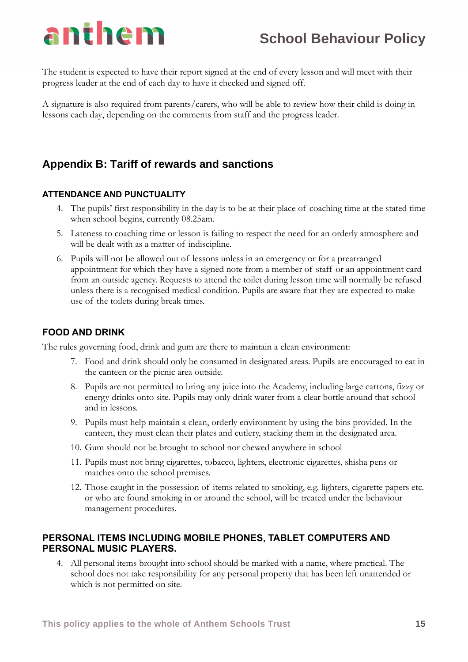The student is expected to have their report signed at the end of every lesson and will meet with their progress leader at the end of each day to have it checked and signed off.

A signature is also required from parents/carers, who will be able to review how their child is doing in lessons each day, depending on the comments from staff and the progress leader.

# **Appendix B: Tariff of rewards and sanctions**

#### **ATTENDANCE AND PUNCTUALITY**

- 4. The pupils' first responsibility in the day is to be at their place of coaching time at the stated time when school begins, currently 08.25am.
- 5. Lateness to coaching time or lesson is failing to respect the need for an orderly atmosphere and will be dealt with as a matter of indiscipline.
- 6. Pupils will not be allowed out of lessons unless in an emergency or for a prearranged appointment for which they have a signed note from a member of staff or an appointment card from an outside agency. Requests to attend the toilet during lesson time will normally be refused unless there is a recognised medical condition. Pupils are aware that they are expected to make use of the toilets during break times.

#### **FOOD AND DRINK**

The rules governing food, drink and gum are there to maintain a clean environment:

- 7. Food and drink should only be consumed in designated areas. Pupils are encouraged to eat in the canteen or the picnic area outside.
- 8. Pupils are not permitted to bring any juice into the Academy, including large cartons, fizzy or energy drinks onto site. Pupils may only drink water from a clear bottle around that school and in lessons.
- 9. Pupils must help maintain a clean, orderly environment by using the bins provided. In the canteen, they must clean their plates and cutlery, stacking them in the designated area.
- 10. Gum should not be brought to school nor chewed anywhere in school
- 11. Pupils must not bring cigarettes, tobacco, lighters, electronic cigarettes, shisha pens or matches onto the school premises.
- 12. Those caught in the possession of items related to smoking, e.g. lighters, cigarette papers etc. or who are found smoking in or around the school, will be treated under the behaviour management procedures.

#### **PERSONAL ITEMS INCLUDING MOBILE PHONES, TABLET COMPUTERS AND PERSONAL MUSIC PLAYERS.**

4. All personal items brought into school should be marked with a name, where practical. The school does not take responsibility for any personal property that has been left unattended or which is not permitted on site.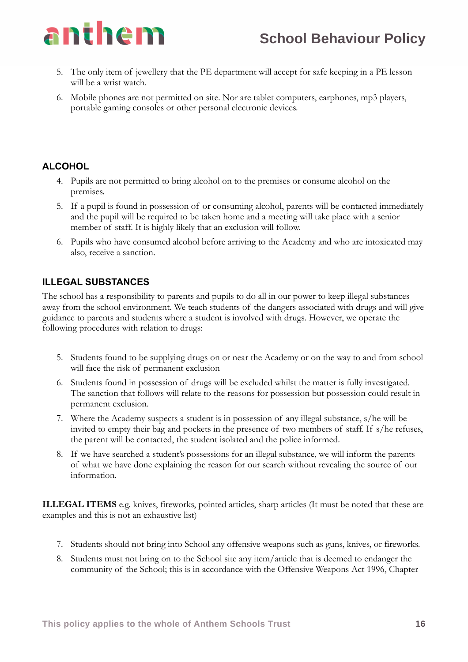

- 5. The only item of jewellery that the PE department will accept for safe keeping in a PE lesson will be a wrist watch.
- 6. Mobile phones are not permitted on site. Nor are tablet computers, earphones, mp3 players, portable gaming consoles or other personal electronic devices.

### **ALCOHOL**

- 4. Pupils are not permitted to bring alcohol on to the premises or consume alcohol on the premises.
- 5. If a pupil is found in possession of or consuming alcohol, parents will be contacted immediately and the pupil will be required to be taken home and a meeting will take place with a senior member of staff. It is highly likely that an exclusion will follow.
- 6. Pupils who have consumed alcohol before arriving to the Academy and who are intoxicated may also, receive a sanction.

#### **ILLEGAL SUBSTANCES**

The school has a responsibility to parents and pupils to do all in our power to keep illegal substances away from the school environment. We teach students of the dangers associated with drugs and will give guidance to parents and students where a student is involved with drugs. However, we operate the following procedures with relation to drugs:

- 5. Students found to be supplying drugs on or near the Academy or on the way to and from school will face the risk of permanent exclusion
- 6. Students found in possession of drugs will be excluded whilst the matter is fully investigated. The sanction that follows will relate to the reasons for possession but possession could result in permanent exclusion.
- 7. Where the Academy suspects a student is in possession of any illegal substance, s/he will be invited to empty their bag and pockets in the presence of two members of staff. If s/he refuses, the parent will be contacted, the student isolated and the police informed.
- 8. If we have searched a student's possessions for an illegal substance, we will inform the parents of what we have done explaining the reason for our search without revealing the source of our information.

**ILLEGAL ITEMS** e.g. knives, fireworks, pointed articles, sharp articles (It must be noted that these are examples and this is not an exhaustive list)

- 7. Students should not bring into School any offensive weapons such as guns, knives, or fireworks.
- 8. Students must not bring on to the School site any item/article that is deemed to endanger the community of the School; this is in accordance with the Offensive Weapons Act 1996, Chapter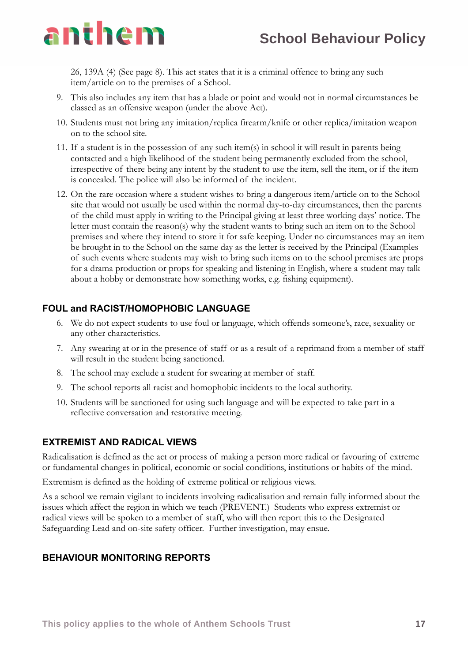

26, 139A (4) (See page 8). This act states that it is a criminal offence to bring any such item/article on to the premises of a School.

- 9. This also includes any item that has a blade or point and would not in normal circumstances be classed as an offensive weapon (under the above Act).
- 10. Students must not bring any imitation/replica firearm/knife or other replica/imitation weapon on to the school site.
- 11. If a student is in the possession of any such item(s) in school it will result in parents being contacted and a high likelihood of the student being permanently excluded from the school, irrespective of there being any intent by the student to use the item, sell the item, or if the item is concealed. The police will also be informed of the incident.
- 12. On the rare occasion where a student wishes to bring a dangerous item/article on to the School site that would not usually be used within the normal day-to-day circumstances, then the parents of the child must apply in writing to the Principal giving at least three working days' notice. The letter must contain the reason(s) why the student wants to bring such an item on to the School premises and where they intend to store it for safe keeping. Under no circumstances may an item be brought in to the School on the same day as the letter is received by the Principal (Examples of such events where students may wish to bring such items on to the school premises are props for a drama production or props for speaking and listening in English, where a student may talk about a hobby or demonstrate how something works, e.g. fishing equipment).

#### **FOUL and RACIST/HOMOPHOBIC LANGUAGE**

- 6. We do not expect students to use foul or language, which offends someone's, race, sexuality or any other characteristics.
- 7. Any swearing at or in the presence of staff or as a result of a reprimand from a member of staff will result in the student being sanctioned.
- 8. The school may exclude a student for swearing at member of staff.
- 9. The school reports all racist and homophobic incidents to the local authority.
- 10. Students will be sanctioned for using such language and will be expected to take part in a reflective conversation and restorative meeting.

#### **EXTREMIST AND RADICAL VIEWS**

Radicalisation is defined as the act or process of making a person more radical or favouring of extreme or fundamental changes in political, economic or social conditions, institutions or habits of the mind.

Extremism is defined as the holding of extreme political or religious views.

As a school we remain vigilant to incidents involving radicalisation and remain fully informed about the issues which affect the region in which we teach (PREVENT.) Students who express extremist or radical views will be spoken to a member of staff, who will then report this to the Designated Safeguarding Lead and on-site safety officer. Further investigation, may ensue.

#### **BEHAVIOUR MONITORING REPORTS**